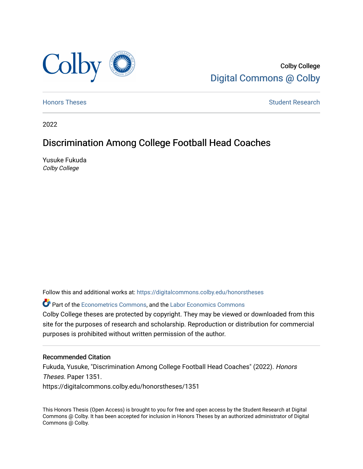

Colby College [Digital Commons @ Colby](https://digitalcommons.colby.edu/) 

[Honors Theses](https://digitalcommons.colby.edu/honorstheses) **Student Research** Student Research

2022

# Discrimination Among College Football Head Coaches

Yusuke Fukuda Colby College

Follow this and additional works at: [https://digitalcommons.colby.edu/honorstheses](https://digitalcommons.colby.edu/honorstheses?utm_source=digitalcommons.colby.edu%2Fhonorstheses%2F1351&utm_medium=PDF&utm_campaign=PDFCoverPages) 

Part of the [Econometrics Commons](https://network.bepress.com/hgg/discipline/342?utm_source=digitalcommons.colby.edu%2Fhonorstheses%2F1351&utm_medium=PDF&utm_campaign=PDFCoverPages), and the [Labor Economics Commons](https://network.bepress.com/hgg/discipline/349?utm_source=digitalcommons.colby.edu%2Fhonorstheses%2F1351&utm_medium=PDF&utm_campaign=PDFCoverPages)

Colby College theses are protected by copyright. They may be viewed or downloaded from this site for the purposes of research and scholarship. Reproduction or distribution for commercial purposes is prohibited without written permission of the author.

#### Recommended Citation

Fukuda, Yusuke, "Discrimination Among College Football Head Coaches" (2022). Honors Theses. Paper 1351.

https://digitalcommons.colby.edu/honorstheses/1351

This Honors Thesis (Open Access) is brought to you for free and open access by the Student Research at Digital Commons @ Colby. It has been accepted for inclusion in Honors Theses by an authorized administrator of Digital Commons @ Colby.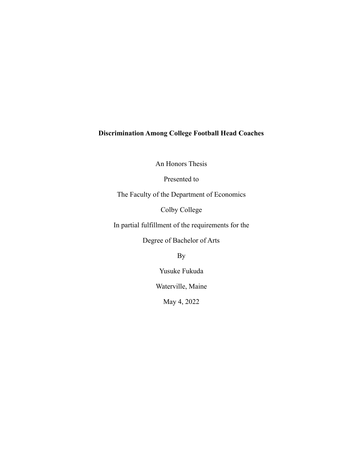# **Discrimination Among College Football Head Coaches**

An Honors Thesis

Presented to

The Faculty of the Department of Economics

Colby College

In partial fulfillment of the requirements for the

Degree of Bachelor of Arts

By

Yusuke Fukuda

Waterville, Maine

May 4, 2022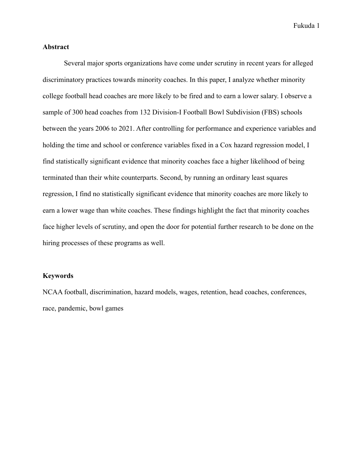#### **Abstract**

Several major sports organizations have come under scrutiny in recent years for alleged discriminatory practices towards minority coaches. In this paper, I analyze whether minority college football head coaches are more likely to be fired and to earn a lower salary. I observe a sample of 300 head coaches from 132 Division-I Football Bowl Subdivision (FBS) schools between the years 2006 to 2021. After controlling for performance and experience variables and holding the time and school or conference variables fixed in a Cox hazard regression model, I find statistically significant evidence that minority coaches face a higher likelihood of being terminated than their white counterparts. Second, by running an ordinary least squares regression, I find no statistically significant evidence that minority coaches are more likely to earn a lower wage than white coaches. These findings highlight the fact that minority coaches face higher levels of scrutiny, and open the door for potential further research to be done on the hiring processes of these programs as well.

#### **Keywords**

NCAA football, discrimination, hazard models, wages, retention, head coaches, conferences, race, pandemic, bowl games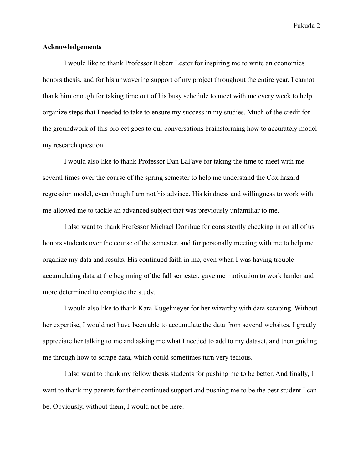#### **Acknowledgements**

I would like to thank Professor Robert Lester for inspiring me to write an economics honors thesis, and for his unwavering support of my project throughout the entire year. I cannot thank him enough for taking time out of his busy schedule to meet with me every week to help organize steps that I needed to take to ensure my success in my studies. Much of the credit for the groundwork of this project goes to our conversations brainstorming how to accurately model my research question.

I would also like to thank Professor Dan LaFave for taking the time to meet with me several times over the course of the spring semester to help me understand the Cox hazard regression model, even though I am not his advisee. His kindness and willingness to work with me allowed me to tackle an advanced subject that was previously unfamiliar to me.

I also want to thank Professor Michael Donihue for consistently checking in on all of us honors students over the course of the semester, and for personally meeting with me to help me organize my data and results. His continued faith in me, even when I was having trouble accumulating data at the beginning of the fall semester, gave me motivation to work harder and more determined to complete the study.

I would also like to thank Kara Kugelmeyer for her wizardry with data scraping. Without her expertise, I would not have been able to accumulate the data from several websites. I greatly appreciate her talking to me and asking me what I needed to add to my dataset, and then guiding me through how to scrape data, which could sometimes turn very tedious.

I also want to thank my fellow thesis students for pushing me to be better. And finally, I want to thank my parents for their continued support and pushing me to be the best student I can be. Obviously, without them, I would not be here.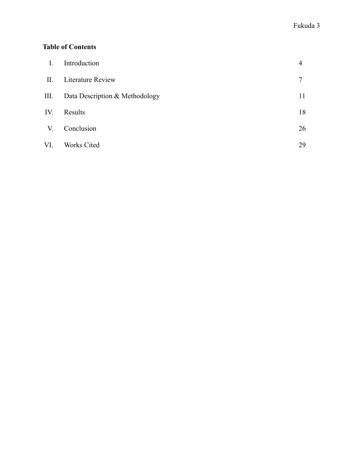# **Table of Contents**

| $\overline{I}$ . | Introduction                   | $\overline{4}$ |
|------------------|--------------------------------|----------------|
| $\mathbf{II}$ .  | <b>Literature Review</b>       | 7              |
| III.             | Data Description & Methodology | 11             |
| IV.              | Results                        | 18             |
| V.               | Conclusion                     | 26             |
| VI.              | <b>Works Cited</b>             | 29             |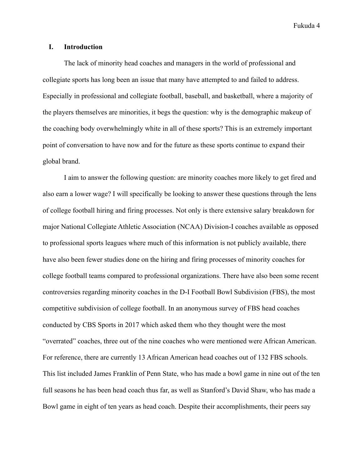# **I. Introduction**

The lack of minority head coaches and managers in the world of professional and collegiate sports has long been an issue that many have attempted to and failed to address. Especially in professional and collegiate football, baseball, and basketball, where a majority of the players themselves are minorities, it begs the question: why is the demographic makeup of the coaching body overwhelmingly white in all of these sports? This is an extremely important point of conversation to have now and for the future as these sports continue to expand their global brand.

I aim to answer the following question: are minority coaches more likely to get fired and also earn a lower wage? I will specifically be looking to answer these questions through the lens of college football hiring and firing processes. Not only is there extensive salary breakdown for major National Collegiate Athletic Association (NCAA) Division-I coaches available as opposed to professional sports leagues where much of this information is not publicly available, there have also been fewer studies done on the hiring and firing processes of minority coaches for college football teams compared to professional organizations. There have also been some recent controversies regarding minority coaches in the D-I Football Bowl Subdivision (FBS), the most competitive subdivision of college football. In an anonymous survey of FBS head coaches conducted by CBS Sports in 2017 which asked them who they thought were the most "overrated" coaches, three out of the nine coaches who were mentioned were African American. For reference, there are currently 13 African American head coaches out of 132 FBS schools. This list included James Franklin of Penn State, who has made a bowl game in nine out of the ten full seasons he has been head coach thus far, as well as Stanford's David Shaw, who has made a Bowl game in eight of ten years as head coach. Despite their accomplishments, their peers say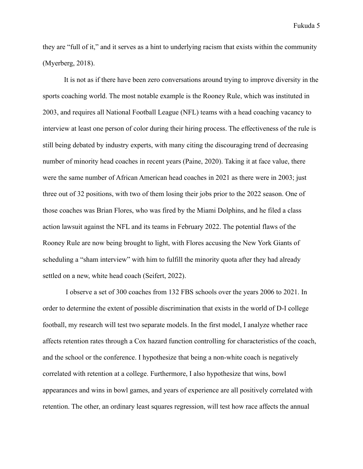they are "full of it," and it serves as a hint to underlying racism that exists within the community (Myerberg, 2018).

It is not as if there have been zero conversations around trying to improve diversity in the sports coaching world. The most notable example is the Rooney Rule, which was instituted in 2003, and requires all National Football League (NFL) teams with a head coaching vacancy to interview at least one person of color during their hiring process. The effectiveness of the rule is still being debated by industry experts, with many citing the discouraging trend of decreasing number of minority head coaches in recent years (Paine, 2020). Taking it at face value, there were the same number of African American head coaches in 2021 as there were in 2003; just three out of 32 positions, with two of them losing their jobs prior to the 2022 season. One of those coaches was Brian Flores, who was fired by the Miami Dolphins, and he filed a class action lawsuit against the NFL and its teams in February 2022. The potential flaws of the Rooney Rule are now being brought to light, with Flores accusing the New York Giants of scheduling a "sham interview" with him to fulfill the minority quota after they had already settled on a new, white head coach (Seifert, 2022).

I observe a set of 300 coaches from 132 FBS schools over the years 2006 to 2021. In order to determine the extent of possible discrimination that exists in the world of D-I college football, my research will test two separate models. In the first model, I analyze whether race affects retention rates through a Cox hazard function controlling for characteristics of the coach, and the school or the conference. I hypothesize that being a non-white coach is negatively correlated with retention at a college. Furthermore, I also hypothesize that wins, bowl appearances and wins in bowl games, and years of experience are all positively correlated with retention. The other, an ordinary least squares regression, will test how race affects the annual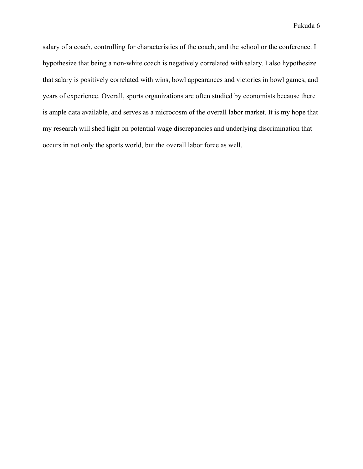salary of a coach, controlling for characteristics of the coach, and the school or the conference. I hypothesize that being a non-white coach is negatively correlated with salary. I also hypothesize that salary is positively correlated with wins, bowl appearances and victories in bowl games, and years of experience. Overall, sports organizations are often studied by economists because there is ample data available, and serves as a microcosm of the overall labor market. It is my hope that my research will shed light on potential wage discrepancies and underlying discrimination that occurs in not only the sports world, but the overall labor force as well.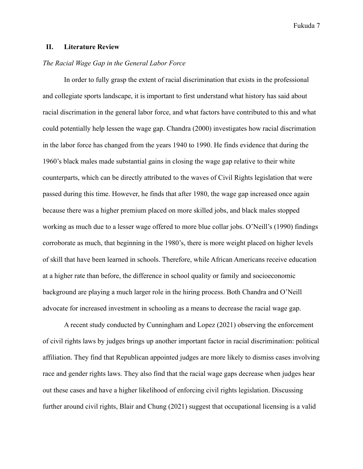# **II. Literature Review**

# *The Racial Wage Gap in the General Labor Force*

In order to fully grasp the extent of racial discrimination that exists in the professional and collegiate sports landscape, it is important to first understand what history has said about racial discrimation in the general labor force, and what factors have contributed to this and what could potentially help lessen the wage gap. Chandra (2000) investigates how racial discrimation in the labor force has changed from the years 1940 to 1990. He finds evidence that during the 1960's black males made substantial gains in closing the wage gap relative to their white counterparts, which can be directly attributed to the waves of Civil Rights legislation that were passed during this time. However, he finds that after 1980, the wage gap increased once again because there was a higher premium placed on more skilled jobs, and black males stopped working as much due to a lesser wage offered to more blue collar jobs. O'Neill's (1990) findings corroborate as much, that beginning in the 1980's, there is more weight placed on higher levels of skill that have been learned in schools. Therefore, while African Americans receive education at a higher rate than before, the difference in school quality or family and socioeconomic background are playing a much larger role in the hiring process. Both Chandra and O'Neill advocate for increased investment in schooling as a means to decrease the racial wage gap.

A recent study conducted by Cunningham and Lopez (2021) observing the enforcement of civil rights laws by judges brings up another important factor in racial discrimination: political affiliation. They find that Republican appointed judges are more likely to dismiss cases involving race and gender rights laws. They also find that the racial wage gaps decrease when judges hear out these cases and have a higher likelihood of enforcing civil rights legislation. Discussing further around civil rights, Blair and Chung (2021) suggest that occupational licensing is a valid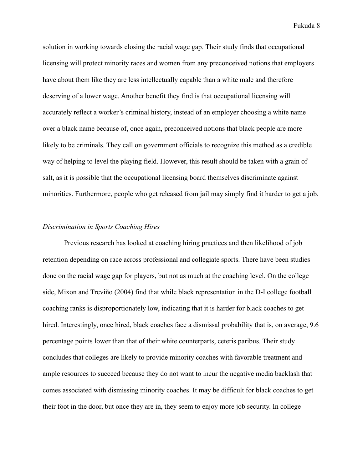solution in working towards closing the racial wage gap. Their study finds that occupational licensing will protect minority races and women from any preconceived notions that employers have about them like they are less intellectually capable than a white male and therefore deserving of a lower wage. Another benefit they find is that occupational licensing will accurately reflect a worker's criminal history, instead of an employer choosing a white name over a black name because of, once again, preconceived notions that black people are more likely to be criminals. They call on government officials to recognize this method as a credible way of helping to level the playing field. However, this result should be taken with a grain of salt, as it is possible that the occupational licensing board themselves discriminate against minorities. Furthermore, people who get released from jail may simply find it harder to get a job.

#### *Discrimination in Sports Coaching Hires*

Previous research has looked at coaching hiring practices and then likelihood of job retention depending on race across professional and collegiate sports. There have been studies done on the racial wage gap for players, but not as much at the coaching level. On the college side, Mixon and Treviño (2004) find that while black representation in the D-I college football coaching ranks is disproportionately low, indicating that it is harder for black coaches to get hired. Interestingly, once hired, black coaches face a dismissal probability that is, on average, 9.6 percentage points lower than that of their white counterparts, ceteris paribus. Their study concludes that colleges are likely to provide minority coaches with favorable treatment and ample resources to succeed because they do not want to incur the negative media backlash that comes associated with dismissing minority coaches. It may be difficult for black coaches to get their foot in the door, but once they are in, they seem to enjoy more job security. In college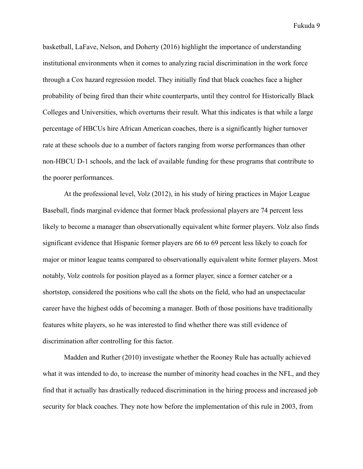basketball, LaFave, Nelson, and Doherty (2016) highlight the importance of understanding institutional environments when it comes to analyzing racial discrimination in the work force through a Cox hazard regression model. They initially find that black coaches face a higher probability of being fired than their white counterparts, until they control for Historically Black Colleges and Universities, which overturns their result. What this indicates is that while a large percentage of HBCUs hire African American coaches, there is a significantly higher turnover rate at these schools due to a number of factors ranging from worse performances than other non-HBCU D-1 schools, and the lack of available funding for these programs that contribute to the poorer performances.

At the professional level, Volz (2012), in his study of hiring practices in Major League Baseball, finds marginal evidence that former black professional players are 74 percent less likely to become a manager than observationally equivalent white former players. Volz also finds significant evidence that Hispanic former players are 66 to 69 percent less likely to coach for major or minor league teams compared to observationally equivalent white former players. Most notably, Volz controls for position played as a former player, since a former catcher or a shortstop, considered the positions who call the shots on the field, who had an unspectacular career have the highest odds of becoming a manager. Both of those positions have traditionally features white players, so he was interested to find whether there was still evidence of discrimination after controlling for this factor.

Madden and Ruther (2010) investigate whether the Rooney Rule has actually achieved what it was intended to do, to increase the number of minority head coaches in the NFL, and they find that it actually has drastically reduced discrimination in the hiring process and increased job security for black coaches. They note how before the implementation of this rule in 2003, from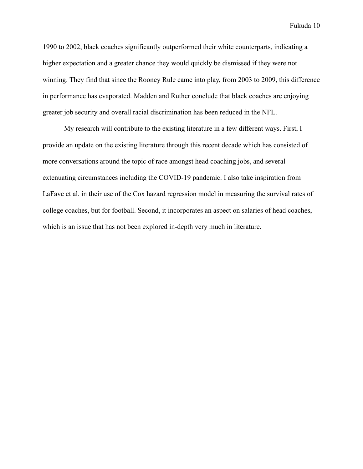1990 to 2002, black coaches significantly outperformed their white counterparts, indicating a higher expectation and a greater chance they would quickly be dismissed if they were not winning. They find that since the Rooney Rule came into play, from 2003 to 2009, this difference in performance has evaporated. Madden and Ruther conclude that black coaches are enjoying greater job security and overall racial discrimination has been reduced in the NFL.

My research will contribute to the existing literature in a few different ways. First, I provide an update on the existing literature through this recent decade which has consisted of more conversations around the topic of race amongst head coaching jobs, and several extenuating circumstances including the COVID-19 pandemic. I also take inspiration from LaFave et al. in their use of the Cox hazard regression model in measuring the survival rates of college coaches, but for football. Second, it incorporates an aspect on salaries of head coaches, which is an issue that has not been explored in-depth very much in literature.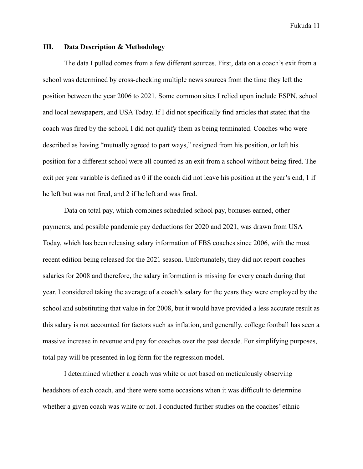#### **III. Data Description & Methodology**

The data I pulled comes from a few different sources. First, data on a coach's exit from a school was determined by cross-checking multiple news sources from the time they left the position between the year 2006 to 2021. Some common sites I relied upon include ESPN, school and local newspapers, and USA Today. If I did not specifically find articles that stated that the coach was fired by the school, I did not qualify them as being terminated. Coaches who were described as having "mutually agreed to part ways," resigned from his position, or left his position for a different school were all counted as an exit from a school without being fired. The exit per year variable is defined as 0 if the coach did not leave his position at the year's end, 1 if he left but was not fired, and 2 if he left and was fired.

Data on total pay, which combines scheduled school pay, bonuses earned, other payments, and possible pandemic pay deductions for 2020 and 2021, was drawn from USA Today, which has been releasing salary information of FBS coaches since 2006, with the most recent edition being released for the 2021 season. Unfortunately, they did not report coaches salaries for 2008 and therefore, the salary information is missing for every coach during that year. I considered taking the average of a coach's salary for the years they were employed by the school and substituting that value in for 2008, but it would have provided a less accurate result as this salary is not accounted for factors such as inflation, and generally, college football has seen a massive increase in revenue and pay for coaches over the past decade. For simplifying purposes, total pay will be presented in log form for the regression model.

I determined whether a coach was white or not based on meticulously observing headshots of each coach, and there were some occasions when it was difficult to determine whether a given coach was white or not. I conducted further studies on the coaches' ethnic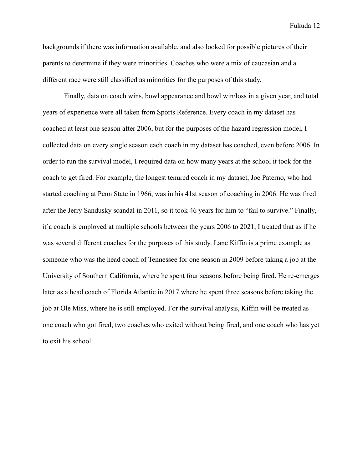backgrounds if there was information available, and also looked for possible pictures of their parents to determine if they were minorities. Coaches who were a mix of caucasian and a different race were still classified as minorities for the purposes of this study.

Finally, data on coach wins, bowl appearance and bowl win/loss in a given year, and total years of experience were all taken from Sports Reference. Every coach in my dataset has coached at least one season after 2006, but for the purposes of the hazard regression model, I collected data on every single season each coach in my dataset has coached, even before 2006. In order to run the survival model, I required data on how many years at the school it took for the coach to get fired. For example, the longest tenured coach in my dataset, Joe Paterno, who had started coaching at Penn State in 1966, was in his 41st season of coaching in 2006. He was fired after the Jerry Sandusky scandal in 2011, so it took 46 years for him to "fail to survive." Finally, if a coach is employed at multiple schools between the years 2006 to 2021, I treated that as if he was several different coaches for the purposes of this study. Lane Kiffin is a prime example as someone who was the head coach of Tennessee for one season in 2009 before taking a job at the University of Southern California, where he spent four seasons before being fired. He re-emerges later as a head coach of Florida Atlantic in 2017 where he spent three seasons before taking the job at Ole Miss, where he is still employed. For the survival analysis, Kiffin will be treated as one coach who got fired, two coaches who exited without being fired, and one coach who has yet to exit his school.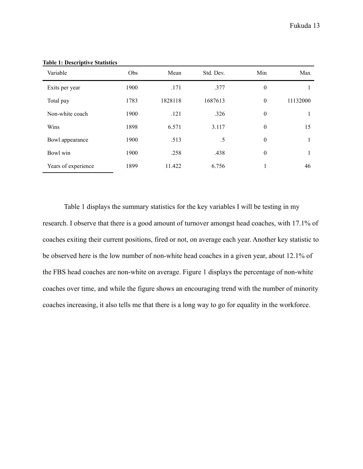| Variable            | <b>Obs</b> | Mean    | Std. Dev. | Min              | Max      |
|---------------------|------------|---------|-----------|------------------|----------|
| Exits per year      | 1900       | .171    | .377      | $\overline{0}$   |          |
| Total pay           | 1783       | 1828118 | 1687613   | $\overline{0}$   | 11132000 |
| Non-white coach     | 1900       | .121    | .326      | $\boldsymbol{0}$ |          |
| Wins                | 1898       | 6.571   | 3.117     | $\overline{0}$   | 15       |
| Bowl appearance     | 1900       | .513    | .5        | $\overline{0}$   |          |
| Bowl win            | 1900       | .258    | .438      | $\overline{0}$   |          |
| Years of experience | 1899       | 11.422  | 6.756     |                  | 46       |

**Table 1: Descriptive Statistics**

Table 1 displays the summary statistics for the key variables I will be testing in my research. I observe that there is a good amount of turnover amongst head coaches, with 17.1% of coaches exiting their current positions, fired or not, on average each year. Another key statistic to be observed here is the low number of non-white head coaches in a given year, about 12.1% of the FBS head coaches are non-white on average. Figure 1 displays the percentage of non-white coaches over time, and while the figure shows an encouraging trend with the number of minority coaches increasing, it also tells me that there is a long way to go for equality in the workforce.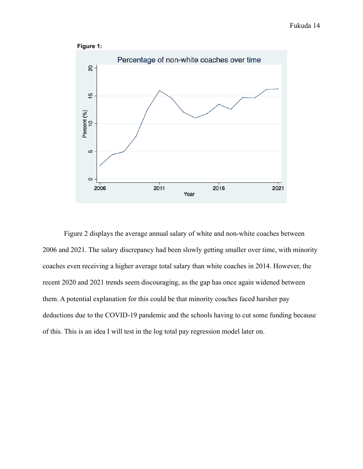



Figure 2 displays the average annual salary of white and non-white coaches between 2006 and 2021. The salary discrepancy had been slowly getting smaller over time, with minority coaches even receiving a higher average total salary than white coaches in 2014. However, the recent 2020 and 2021 trends seem discouraging, as the gap has once again widened between them. A potential explanation for this could be that minority coaches faced harsher pay deductions due to the COVID-19 pandemic and the schools having to cut some funding because of this. This is an idea I will test in the log total pay regression model later on.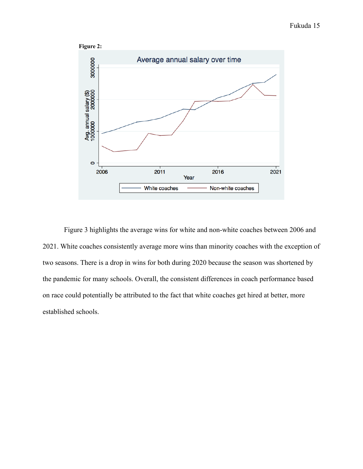

Figure 3 highlights the average wins for white and non-white coaches between 2006 and 2021. White coaches consistently average more wins than minority coaches with the exception of two seasons. There is a drop in wins for both during 2020 because the season was shortened by the pandemic for many schools. Overall, the consistent differences in coach performance based on race could potentially be attributed to the fact that white coaches get hired at better, more established schools.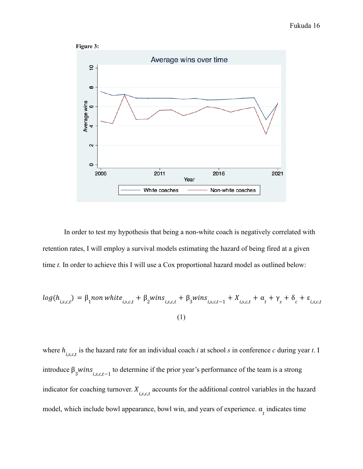

In order to test my hypothesis that being a non-white coach is negatively correlated with retention rates, I will employ a survival models estimating the hazard of being fired at a given time *t*. In order to achieve this I will use a Cox proportional hazard model as outlined below:

$$
log(h_{i,s,c,t}) = \beta_1 \text{non white}_{i,s,c,t} + \beta_2 \text{wins}_{i,s,c,t} + \beta_3 \text{wins}_{i,s,c,t-1} + X_{i,s,c,t} + \alpha_t + \gamma_s + \delta_c + \varepsilon_{i,s,c,t}
$$
\n(1)

where  $h_{i,s,c,t}$  is the hazard rate for an individual coach *i* at school *s* in conference *c* during year *t*. I introduce  $\beta_3 wins_{i,s,c,t-1}$  to determine if the prior year's performance of the team is a strong indicator for coaching turnover.  $X_{i,s,c,t}$  accounts for the additional control variables in the hazard model, which include bowl appearance, bowl win, and years of experience.  $\alpha_t$  indicates time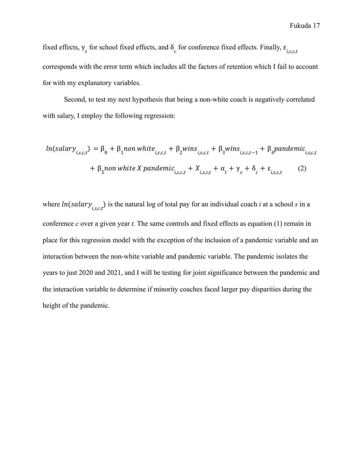fixed effects,  $\gamma_s$  for school fixed effects, and  $\delta_c$  for conference fixed effects. Finally,  $\varepsilon_{i,s,c,t}$ corresponds with the error term which includes all the factors of retention which I fail to account for with my explanatory variables.

Second, to test my next hypothesis that being a non-white coach is negatively correlated with salary, I employ the following regression:

$$
ln(salary_{i,s,c,t}) = \beta_0 + \beta_1 non \text{ white}_{i,s,c,t} + \beta_2 \text{wins}_{i,s,c,t} + \beta_3 \text{wins}_{i,s,c,t-1} + \beta_4 \text{pandemic}_{i,s,c,t}
$$

$$
+ \beta_5 non \text{ white } X \text{pandemic}_{i,s,c,t} + X_{i,s,c,t} + \alpha_t + \gamma_s + \delta_c + \varepsilon_{i,s,c,t} \tag{2}
$$

where  $ln(salary_{i,s,c,t})$  is the natural log of total pay for an individual coach *i* at a school *s* in a conference *c* over a given year *t*. The same controls and fixed effects as equation (1) remain in place for this regression model with the exception of the inclusion of a pandemic variable and an interaction between the non-white variable and pandemic variable. The pandemic isolates the years to just 2020 and 2021, and I will be testing for joint significance between the pandemic and the interaction variable to determine if minority coaches faced larger pay disparities during the height of the pandemic.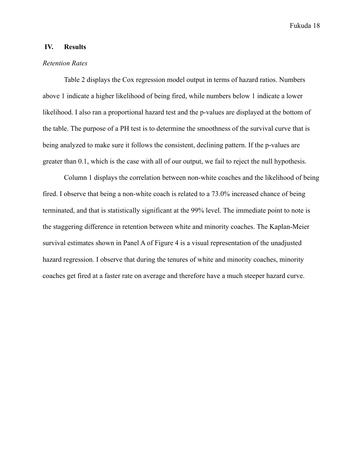# **IV. Results**

#### *Retention Rates*

Table 2 displays the Cox regression model output in terms of hazard ratios. Numbers above 1 indicate a higher likelihood of being fired, while numbers below 1 indicate a lower likelihood. I also ran a proportional hazard test and the p-values are displayed at the bottom of the table. The purpose of a PH test is to determine the smoothness of the survival curve that is being analyzed to make sure it follows the consistent, declining pattern. If the p-values are greater than 0.1, which is the case with all of our output, we fail to reject the null hypothesis.

Column 1 displays the correlation between non-white coaches and the likelihood of being fired. I observe that being a non-white coach is related to a 73.0% increased chance of being terminated, and that is statistically significant at the 99% level. The immediate point to note is the staggering difference in retention between white and minority coaches. The Kaplan-Meier survival estimates shown in Panel A of Figure 4 is a visual representation of the unadjusted hazard regression. I observe that during the tenures of white and minority coaches, minority coaches get fired at a faster rate on average and therefore have a much steeper hazard curve.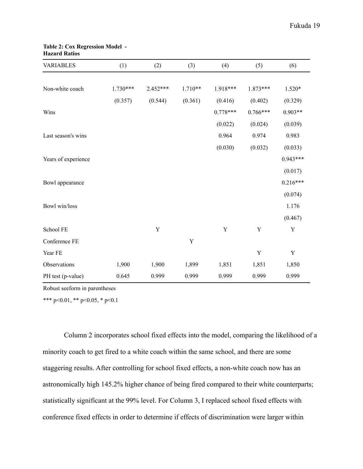| <b>VARIABLES</b>    | (1)        | (2)         | (3)         | (4)         | (5)         | (6)         |
|---------------------|------------|-------------|-------------|-------------|-------------|-------------|
| Non-white coach     | $1.730***$ | $2.452***$  | $1.710**$   | 1.918***    | 1.873***    | 1.520*      |
|                     | (0.357)    | (0.544)     | (0.361)     | (0.416)     | (0.402)     | (0.329)     |
| Wins                |            |             |             | $0.778***$  | $0.766***$  | $0.903**$   |
|                     |            |             |             | (0.022)     | (0.024)     | (0.039)     |
| Last season's wins  |            |             |             | 0.964       | 0.974       | 0.983       |
|                     |            |             |             | (0.030)     | (0.032)     | (0.033)     |
| Years of experience |            |             |             |             |             | $0.943***$  |
|                     |            |             |             |             |             | (0.017)     |
| Bowl appearance     |            |             |             |             |             | $0.216***$  |
|                     |            |             |             |             |             | (0.074)     |
| Bowl win/loss       |            |             |             |             |             | 1.176       |
|                     |            |             |             |             |             | (0.467)     |
| School FE           |            | $\mathbf Y$ |             | $\mathbf Y$ | $\mathbf Y$ | $\mathbf Y$ |
| Conference FE       |            |             | $\mathbf Y$ |             |             |             |
| Year FE             |            |             |             |             | $\mathbf Y$ | $\mathbf Y$ |
| Observations        | 1,900      | 1,900       | 1,899       | 1,851       | 1,851       | 1,850       |
| PH test (p-value)   | 0.645      | 0.999       | 0.999       | 0.999       | 0.999       | 0.999       |

#### **Table 2: Cox Regression Model - Hazard Ratios**

Robust seeform in parentheses

\*\*\* p<0.01, \*\* p<0.05, \* p<0.1

Column 2 incorporates school fixed effects into the model, comparing the likelihood of a minority coach to get fired to a white coach within the same school, and there are some staggering results. After controlling for school fixed effects, a non-white coach now has an astronomically high 145.2% higher chance of being fired compared to their white counterparts; statistically significant at the 99% level. For Column 3, I replaced school fixed effects with conference fixed effects in order to determine if effects of discrimination were larger within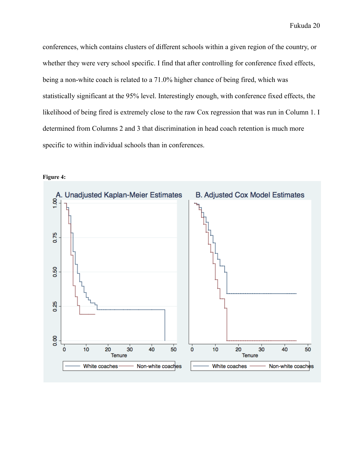conferences, which contains clusters of different schools within a given region of the country, or whether they were very school specific. I find that after controlling for conference fixed effects, being a non-white coach is related to a 71.0% higher chance of being fired, which was statistically significant at the 95% level. Interestingly enough, with conference fixed effects, the likelihood of being fired is extremely close to the raw Cox regression that was run in Column 1. I determined from Columns 2 and 3 that discrimination in head coach retention is much more specific to within individual schools than in conferences.



**Figure 4:**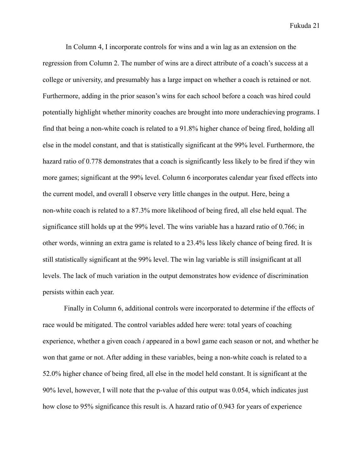In Column 4, I incorporate controls for wins and a win lag as an extension on the regression from Column 2. The number of wins are a direct attribute of a coach's success at a college or university, and presumably has a large impact on whether a coach is retained or not. Furthermore, adding in the prior season's wins for each school before a coach was hired could potentially highlight whether minority coaches are brought into more underachieving programs. I find that being a non-white coach is related to a 91.8% higher chance of being fired, holding all else in the model constant, and that is statistically significant at the 99% level. Furthermore, the hazard ratio of 0.778 demonstrates that a coach is significantly less likely to be fired if they win more games; significant at the 99% level. Column 6 incorporates calendar year fixed effects into the current model, and overall I observe very little changes in the output. Here, being a non-white coach is related to a 87.3% more likelihood of being fired, all else held equal. The significance still holds up at the 99% level. The wins variable has a hazard ratio of 0.766; in other words, winning an extra game is related to a 23.4% less likely chance of being fired. It is still statistically significant at the 99% level. The win lag variable is still insignificant at all levels. The lack of much variation in the output demonstrates how evidence of discrimination persists within each year.

Finally in Column 6, additional controls were incorporated to determine if the effects of race would be mitigated. The control variables added here were: total years of coaching experience, whether a given coach *i* appeared in a bowl game each season or not, and whether he won that game or not. After adding in these variables, being a non-white coach is related to a 52.0% higher chance of being fired, all else in the model held constant. It is significant at the 90% level, however, I will note that the p-value of this output was 0.054, which indicates just how close to 95% significance this result is. A hazard ratio of 0.943 for years of experience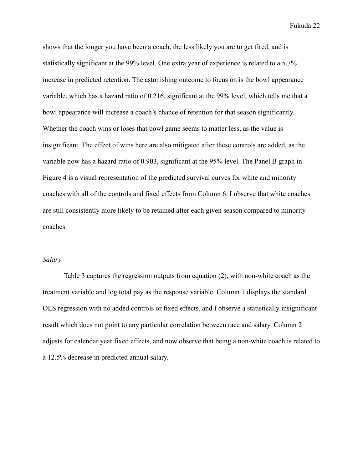shows that the longer you have been a coach, the less likely you are to get fired, and is statistically significant at the 99% level. One extra year of experience is related to a 5.7% increase in predicted retention. The astonishing outcome to focus on is the bowl appearance variable, which has a hazard ratio of 0.216, significant at the 99% level, which tells me that a bowl appearance will increase a coach's chance of retention for that season significantly. Whether the coach wins or loses that bowl game seems to matter less, as the value is insignificant. The effect of wins here are also mitigated after these controls are added, as the variable now has a hazard ratio of 0.903, significant at the 95% level. The Panel B graph in Figure 4 is a visual representation of the predicted survival curves for white and minority coaches with all of the controls and fixed effects from Column 6. I observe that white coaches are still consistently more likely to be retained after each given season compared to minority coaches.

#### *Salary*

Table 3 captures the regression outputs from equation (2), with non-white coach as the treatment variable and log total pay as the response variable. Column 1 displays the standard OLS regression with no added controls or fixed effects, and I observe a statistically insignificant result which does not point to any particular correlation between race and salary. Column 2 adjusts for calendar year fixed effects, and now observe that being a non-white coach is related to a 12.5% decrease in predicted annual salary.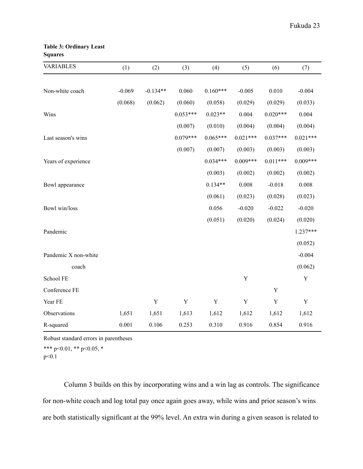#### **Table 3: Ordinary Least Squares**

| <b>VARIABLES</b>     | (1)      | (2)         | (3)         | (4)         | (5)         | (6)         | (7)         |
|----------------------|----------|-------------|-------------|-------------|-------------|-------------|-------------|
|                      |          |             |             |             |             |             |             |
| Non-white coach      | $-0.069$ | $-0.134**$  | 0.060       | $0.160***$  | $-0.005$    | 0.010       | $-0.004$    |
|                      | (0.068)  | (0.062)     | (0.060)     | (0.058)     | (0.029)     | (0.029)     | (0.033)     |
| Wins                 |          |             | $0.053***$  | $0.023**$   | 0.004       | $0.020***$  | 0.004       |
|                      |          |             | (0.007)     | (0.010)     | (0.004)     | (0.004)     | (0.004)     |
| Last season's wins   |          |             | $0.079***$  | $0.065***$  | $0.021***$  | $0.037***$  | $0.021***$  |
|                      |          |             | (0.007)     | (0.007)     | (0.003)     | (0.003)     | (0.003)     |
| Years of experience  |          |             |             | $0.034***$  | $0.009***$  | $0.011***$  | $0.009***$  |
|                      |          |             |             | (0.003)     | (0.002)     | (0.002)     | (0.002)     |
| Bowl appearance      |          |             |             | $0.134**$   | 0.008       | $-0.018$    | 0.008       |
|                      |          |             |             | (0.061)     | (0.023)     | (0.028)     | (0.023)     |
| Bowl win/loss        |          |             |             | 0.056       | $-0.020$    | $-0.022$    | $-0.020$    |
|                      |          |             |             | (0.051)     | (0.020)     | (0.024)     | (0.020)     |
| Pandemic             |          |             |             |             |             |             | 1.237***    |
|                      |          |             |             |             |             |             | (0.052)     |
| Pandemic X non-white |          |             |             |             |             |             | $-0.004$    |
| coach                |          |             |             |             |             |             | (0.062)     |
| School FE            |          |             |             |             | Y           |             | $\mathbf Y$ |
| Conference FE        |          |             |             |             |             | $\mathbf Y$ |             |
| Year FE              |          | $\mathbf Y$ | $\mathbf Y$ | $\mathbf Y$ | $\mathbf Y$ | $\mathbf Y$ | $\mathbf Y$ |
| Observations         | 1,651    | 1,651       | 1,613       | 1,612       | 1,612       | 1,612       | 1,612       |
| R-squared            | 0.001    | 0.106       | 0.253       | 0.310       | 0.916       | 0.854       | 0.916       |

Robust standard errors in parentheses

\*\*\* p<0.01, \*\* p<0.05, \* p<0.1

Column 3 builds on this by incorporating wins and a win lag as controls. The significance for non-white coach and log total pay once again goes away, while wins and prior season's wins are both statistically significant at the 99% level. An extra win during a given season is related to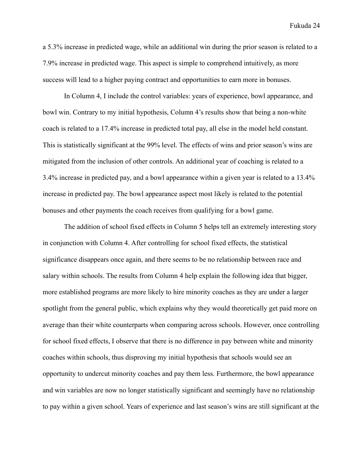a 5.3% increase in predicted wage, while an additional win during the prior season is related to a 7.9% increase in predicted wage. This aspect is simple to comprehend intuitively, as more success will lead to a higher paying contract and opportunities to earn more in bonuses.

In Column 4, I include the control variables: years of experience, bowl appearance, and bowl win. Contrary to my initial hypothesis, Column 4's results show that being a non-white coach is related to a 17.4% increase in predicted total pay, all else in the model held constant. This is statistically significant at the 99% level. The effects of wins and prior season's wins are mitigated from the inclusion of other controls. An additional year of coaching is related to a 3.4% increase in predicted pay, and a bowl appearance within a given year is related to a 13.4% increase in predicted pay. The bowl appearance aspect most likely is related to the potential bonuses and other payments the coach receives from qualifying for a bowl game.

The addition of school fixed effects in Column 5 helps tell an extremely interesting story in conjunction with Column 4. After controlling for school fixed effects, the statistical significance disappears once again, and there seems to be no relationship between race and salary within schools. The results from Column 4 help explain the following idea that bigger, more established programs are more likely to hire minority coaches as they are under a larger spotlight from the general public, which explains why they would theoretically get paid more on average than their white counterparts when comparing across schools. However, once controlling for school fixed effects, I observe that there is no difference in pay between white and minority coaches within schools, thus disproving my initial hypothesis that schools would see an opportunity to undercut minority coaches and pay them less. Furthermore, the bowl appearance and win variables are now no longer statistically significant and seemingly have no relationship to pay within a given school. Years of experience and last season's wins are still significant at the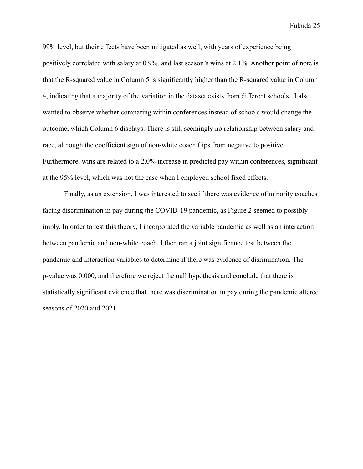99% level, but their effects have been mitigated as well, with years of experience being positively correlated with salary at 0.9%, and last season's wins at 2.1%. Another point of note is that the R-squared value in Column 5 is significantly higher than the R-squared value in Column 4, indicating that a majority of the variation in the dataset exists from different schools. I also wanted to observe whether comparing within conferences instead of schools would change the outcome, which Column 6 displays. There is still seemingly no relationship between salary and race, although the coefficient sign of non-white coach flips from negative to positive. Furthermore, wins are related to a 2.0% increase in predicted pay within conferences, significant at the 95% level, which was not the case when I employed school fixed effects.

Finally, as an extension, I was interested to see if there was evidence of minority coaches facing discrimination in pay during the COVID-19 pandemic, as Figure 2 seemed to possibly imply. In order to test this theory, I incorporated the variable pandemic as well as an interaction between pandemic and non-white coach. I then ran a joint significance test between the pandemic and interaction variables to determine if there was evidence of disrimination. The p-value was 0.000, and therefore we reject the null hypothesis and conclude that there is statistically significant evidence that there was discrimination in pay during the pandemic altered seasons of 2020 and 2021.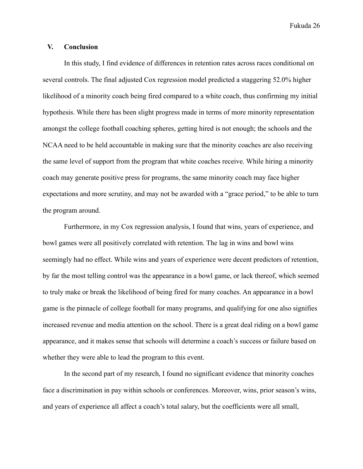# **V. Conclusion**

In this study, I find evidence of differences in retention rates across races conditional on several controls. The final adjusted Cox regression model predicted a staggering 52.0% higher likelihood of a minority coach being fired compared to a white coach, thus confirming my initial hypothesis. While there has been slight progress made in terms of more minority representation amongst the college football coaching spheres, getting hired is not enough; the schools and the NCAA need to be held accountable in making sure that the minority coaches are also receiving the same level of support from the program that white coaches receive. While hiring a minority coach may generate positive press for programs, the same minority coach may face higher expectations and more scrutiny, and may not be awarded with a "grace period," to be able to turn the program around.

Furthermore, in my Cox regression analysis, I found that wins, years of experience, and bowl games were all positively correlated with retention. The lag in wins and bowl wins seemingly had no effect. While wins and years of experience were decent predictors of retention, by far the most telling control was the appearance in a bowl game, or lack thereof, which seemed to truly make or break the likelihood of being fired for many coaches. An appearance in a bowl game is the pinnacle of college football for many programs, and qualifying for one also signifies increased revenue and media attention on the school. There is a great deal riding on a bowl game appearance, and it makes sense that schools will determine a coach's success or failure based on whether they were able to lead the program to this event.

In the second part of my research, I found no significant evidence that minority coaches face a discrimination in pay within schools or conferences. Moreover, wins, prior season's wins, and years of experience all affect a coach's total salary, but the coefficients were all small,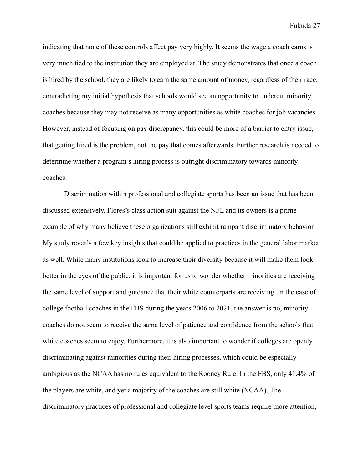indicating that none of these controls affect pay very highly. It seems the wage a coach earns is very much tied to the institution they are employed at. The study demonstrates that once a coach is hired by the school, they are likely to earn the same amount of money, regardless of their race; contradicting my initial hypothesis that schools would see an opportunity to undercut minority coaches because they may not receive as many opportunities as white coaches for job vacancies. However, instead of focusing on pay discrepancy, this could be more of a barrier to entry issue, that getting hired is the problem, not the pay that comes afterwards. Further research is needed to determine whether a program's hiring process is outright discriminatory towards minority coaches.

Discrimination within professional and collegiate sports has been an issue that has been discussed extensively. Flores's class action suit against the NFL and its owners is a prime example of why many believe these organizations still exhibit rampant discriminatory behavior. My study reveals a few key insights that could be applied to practices in the general labor market as well. While many institutions look to increase their diversity because it will make them look better in the eyes of the public, it is important for us to wonder whether minorities are receiving the same level of support and guidance that their white counterparts are receiving. In the case of college football coaches in the FBS during the years 2006 to 2021, the answer is no, minority coaches do not seem to receive the same level of patience and confidence from the schools that white coaches seem to enjoy. Furthermore, it is also important to wonder if colleges are openly discriminating against minorities during their hiring processes, which could be especially ambigious as the NCAA has no rules equivalent to the Rooney Rule. In the FBS, only 41.4% of the players are white, and yet a majority of the coaches are still white (NCAA). The discriminatory practices of professional and collegiate level sports teams require more attention,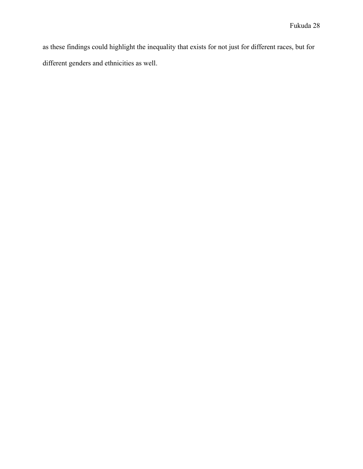as these findings could highlight the inequality that exists for not just for different races, but for different genders and ethnicities as well.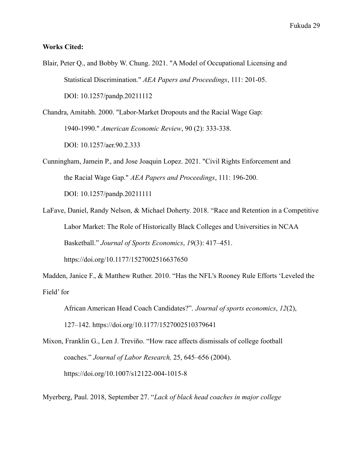#### **Works Cited:**

- Blair, Peter Q., and Bobby W. Chung. 2021. "A Model of Occupational Licensing and Statistical Discrimination." *AEA Papers and Proceedings*, 111: 201-05. DOI: 10.1257/pandp.20211112
- Chandra, Amitabh. 2000. "Labor-Market Dropouts and the Racial Wage Gap: 1940-1990." *American Economic Review*, 90 (2): 333-338. DOI: 10.1257/aer.90.2.333
- Cunningham, Jamein P., and Jose Joaquin Lopez. 2021. "Civil Rights Enforcement and the Racial Wage Gap." *AEA Papers and Proceedings*, 111: 196-200. DOI: 10.1257/pandp.20211111
- LaFave, Daniel, Randy Nelson, & Michael Doherty. 2018. "Race and Retention in a Competitive Labor Market: The Role of Historically Black Colleges and Universities in NCAA Basketball." *Journal of Sports Economics*, *19*(3): 417–451. <https://doi.org/10.1177/1527002516637650>

Madden, Janice F., & Matthew Ruther. 2010. "Has the NFL's Rooney Rule Efforts 'Leveled the Field' for

- African American Head Coach Candidates?". *Journal of sports economics*, *12*(2), 127–142. <https://doi.org/10.1177/1527002510379641>
- Mixon, Franklin G., Len J. Treviño. "How race affects dismissals of college football coaches." *Journal of Labor Research,* 25, 645–656 (2004). <https://doi.org/10.1007/s12122-004-1015-8>

Myerberg, Paul. 2018, September 27. "*Lack of black head coaches in major college*